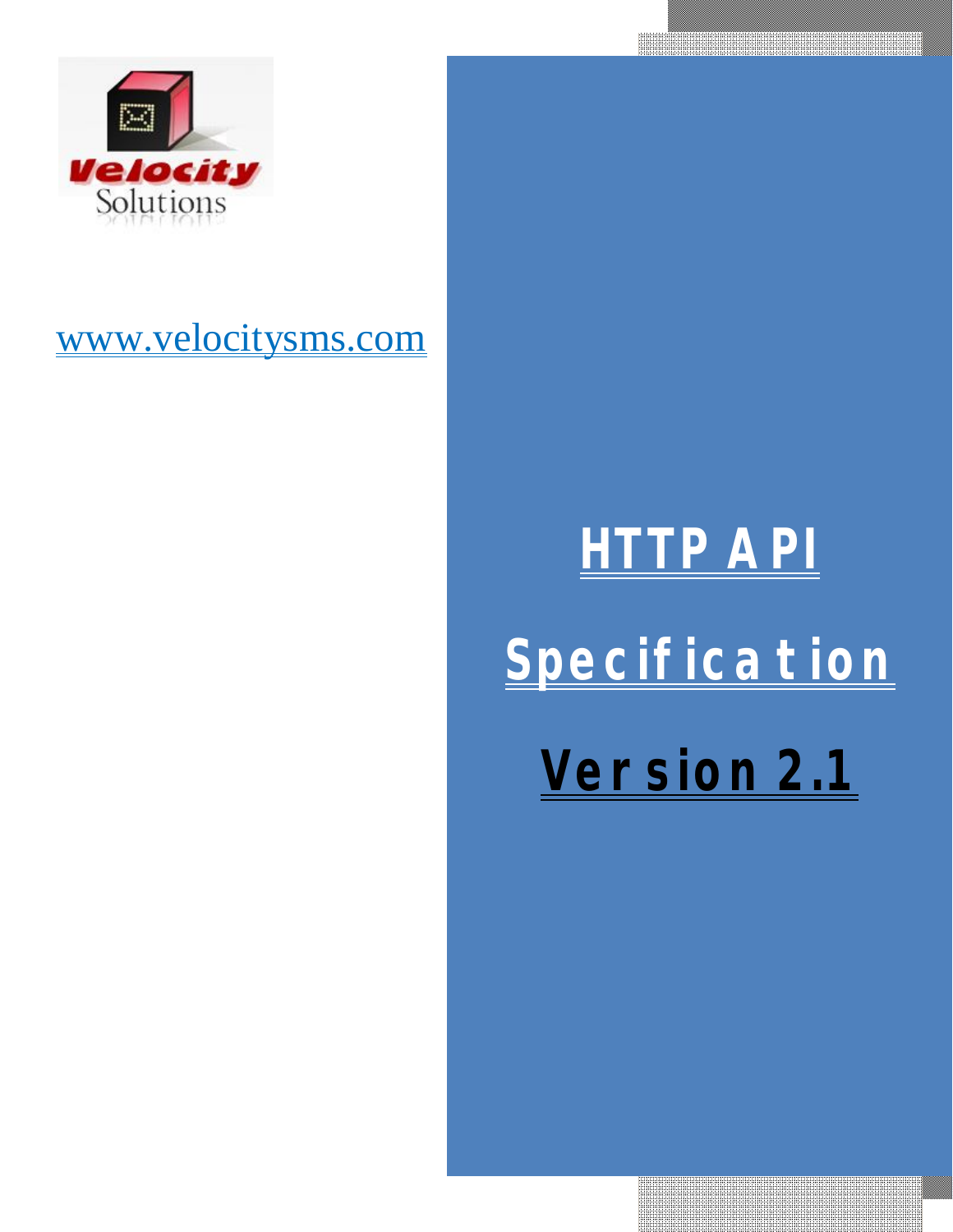

## www.velocitysms.com

# **HTTP API Specification Version 2.1**

<u> 1989 - Johann Barnett, fransk kanedist (</u>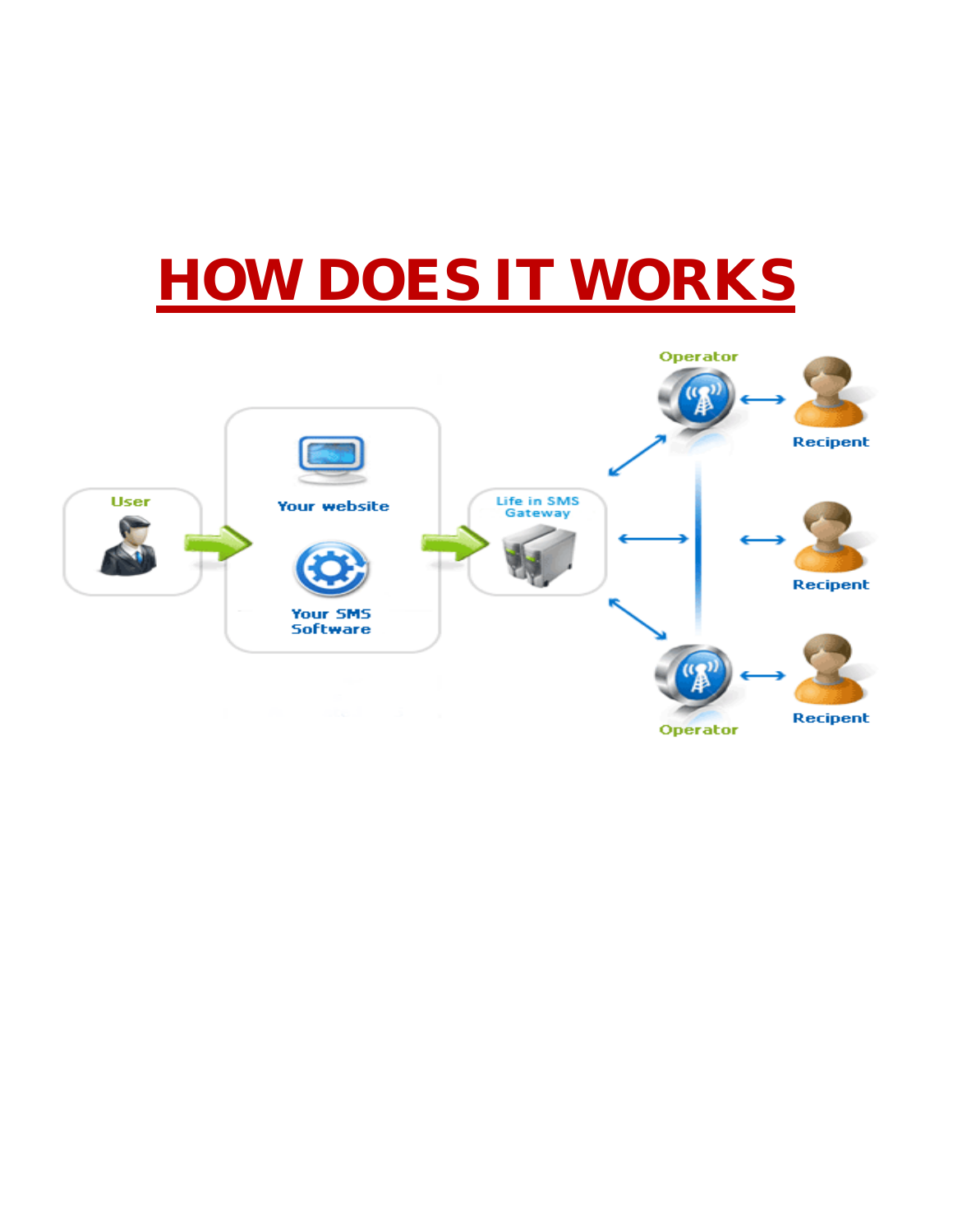## **HOW DOES IT WORKS**

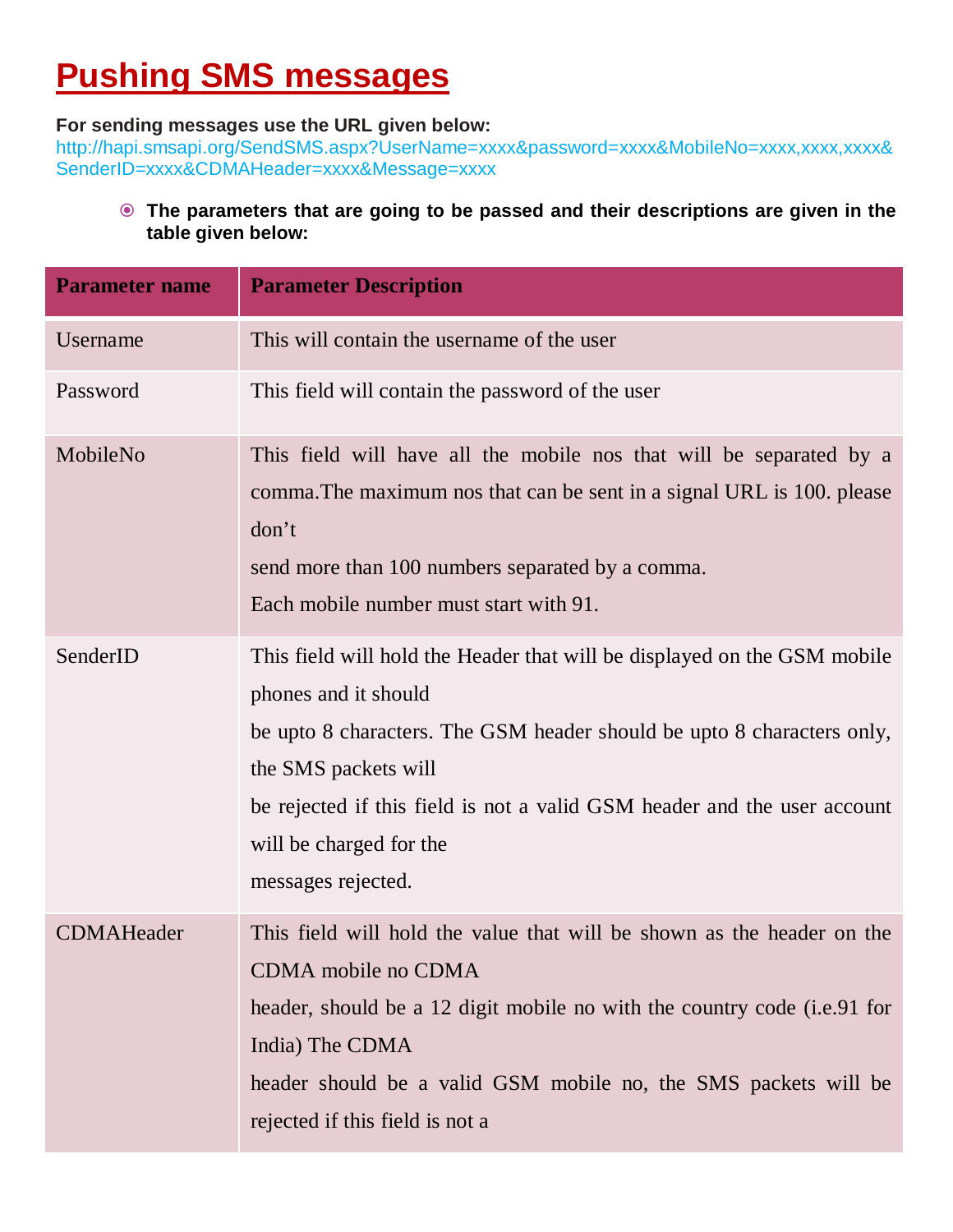## **Pushing SMS messages**

#### **For sending messages use the URL given below:**

http://hapi.smsapi.org/SendSMS.aspx?UserName=xxxx&password=xxxx&MobileNo=xxxx,xxxx,xxxx& SenderID=xxxx&CDMAHeader=xxxx&Message=xxxx

 **The parameters that are going to be passed and their descriptions are given in the table given below:**

| <b>Parameter name</b> | <b>Parameter Description</b>                                                                                                                                                                                                                                                                                                    |
|-----------------------|---------------------------------------------------------------------------------------------------------------------------------------------------------------------------------------------------------------------------------------------------------------------------------------------------------------------------------|
| Username              | This will contain the username of the user                                                                                                                                                                                                                                                                                      |
| Password              | This field will contain the password of the user                                                                                                                                                                                                                                                                                |
| MobileNo              | This field will have all the mobile nos that will be separated by a<br>comma. The maximum nos that can be sent in a signal URL is 100. please<br>don't<br>send more than 100 numbers separated by a comma.<br>Each mobile number must start with 91.                                                                            |
| SenderID              | This field will hold the Header that will be displayed on the GSM mobile<br>phones and it should<br>be upto 8 characters. The GSM header should be upto 8 characters only,<br>the SMS packets will<br>be rejected if this field is not a valid GSM header and the user account<br>will be charged for the<br>messages rejected. |
| <b>CDMAHeader</b>     | This field will hold the value that will be shown as the header on the<br>CDMA mobile no CDMA<br>header, should be a 12 digit mobile no with the country code (i.e.91 for<br>India) The CDMA<br>header should be a valid GSM mobile no, the SMS packets will be<br>rejected if this field is not a                              |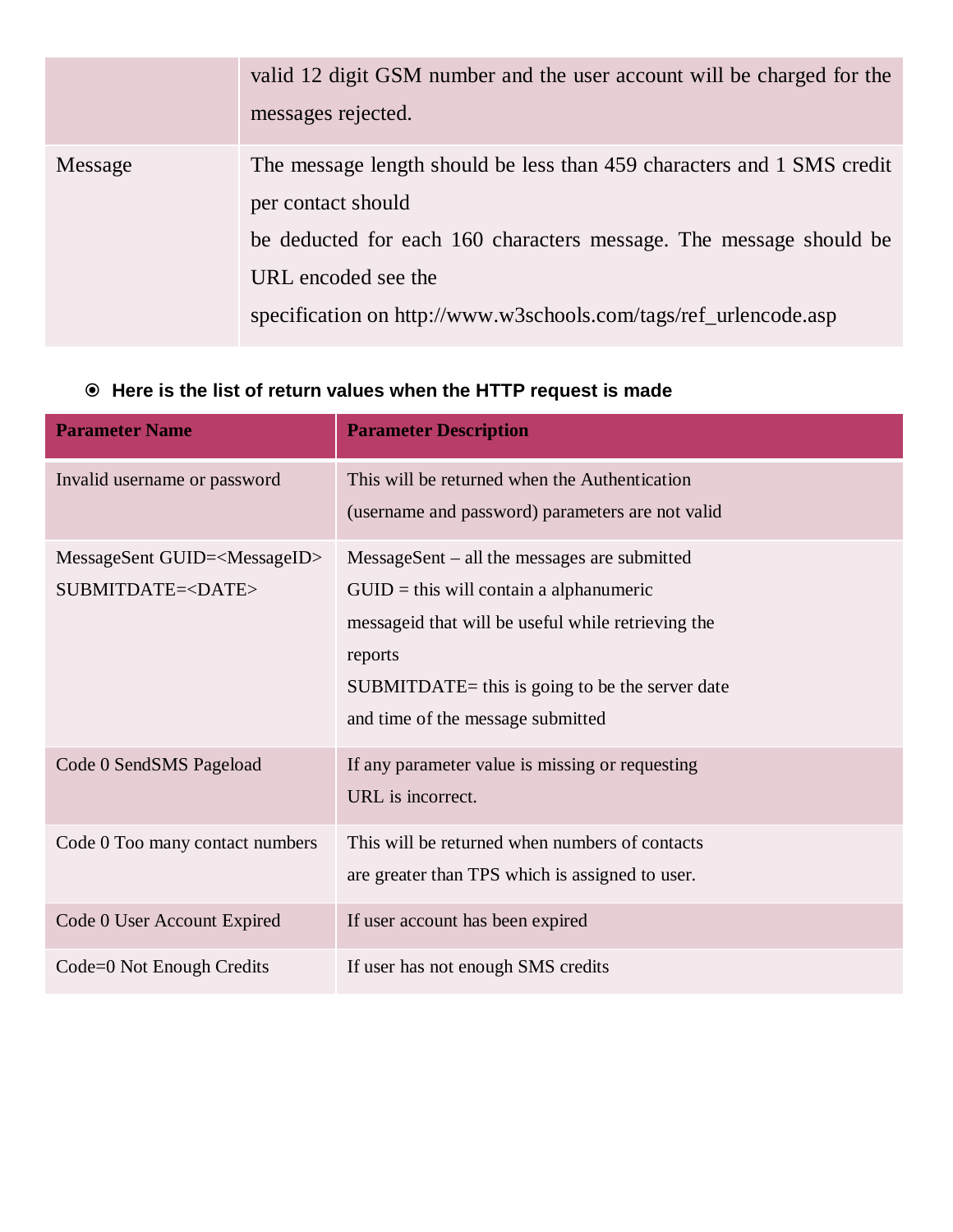|         | valid 12 digit GSM number and the user account will be charged for the<br>messages rejected.                                                                                                                                                                  |
|---------|---------------------------------------------------------------------------------------------------------------------------------------------------------------------------------------------------------------------------------------------------------------|
| Message | The message length should be less than 459 characters and 1 SMS credit<br>per contact should<br>be deducted for each 160 characters message. The message should be<br>URL encoded see the<br>specification on http://www.w3schools.com/tags/ref_urlencode.asp |

#### **Here is the list of return values when the HTTP request is made**

| <b>Parameter Name</b>                                                  | <b>Parameter Description</b>                                                                                                                                                                                                                            |
|------------------------------------------------------------------------|---------------------------------------------------------------------------------------------------------------------------------------------------------------------------------------------------------------------------------------------------------|
| Invalid username or password                                           | This will be returned when the Authentication<br>(username and password) parameters are not valid                                                                                                                                                       |
| MessageSent GUID= <messageid><br/>SUBMITDATE=<date></date></messageid> | $MessageSent - all the messages are submitted$<br>$GUID = this will contain a alphanumeric$<br>messageid that will be useful while retrieving the<br>reports<br>$SUBMITDATE = this$ is going to be the server date<br>and time of the message submitted |
| Code 0 SendSMS Pageload                                                | If any parameter value is missing or requesting<br>URL is incorrect.                                                                                                                                                                                    |
| Code 0 Too many contact numbers                                        | This will be returned when numbers of contacts<br>are greater than TPS which is assigned to user.                                                                                                                                                       |
| Code 0 User Account Expired                                            | If user account has been expired                                                                                                                                                                                                                        |
| Code=0 Not Enough Credits                                              | If user has not enough SMS credits                                                                                                                                                                                                                      |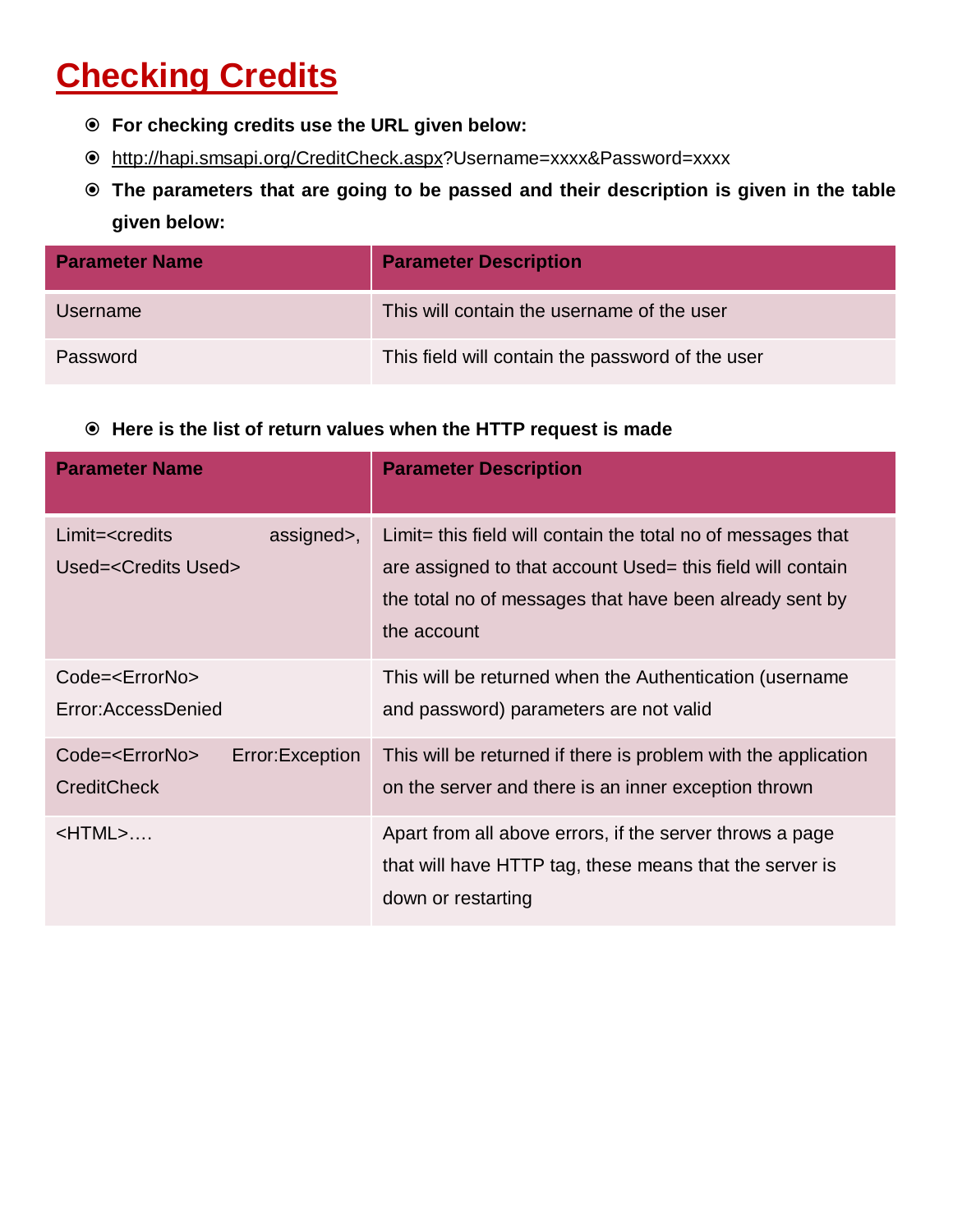## **Checking Credits**

- **For checking credits use the URL given below:**
- http://hapi.smsapi.org/CreditCheck.aspx?Username=xxxx&Password=xxxx
- **The parameters that are going to be passed and their description is given in the table given below:**

| <b>Parameter Name</b> | <b>Parameter Description</b>                     |
|-----------------------|--------------------------------------------------|
| <b>Username</b>       | This will contain the username of the user       |
| Password              | This field will contain the password of the user |

#### **Here is the list of return values when the HTTP request is made**

| <b>Parameter Name</b>                                                 | <b>Parameter Description</b>                                                                                                                                                                           |
|-----------------------------------------------------------------------|--------------------------------------------------------------------------------------------------------------------------------------------------------------------------------------------------------|
| $Limit = reditsassigned>,Used=$                                       | Limit = this field will contain the total no of messages that<br>are assigned to that account Used = this field will contain<br>the total no of messages that have been already sent by<br>the account |
| Code= <errorno><br/>Error: Access Denied</errorno>                    | This will be returned when the Authentication (username<br>and password) parameters are not valid                                                                                                      |
| Code= <errorno><br/>Error: Exception<br/><b>CreditCheck</b></errorno> | This will be returned if there is problem with the application<br>on the server and there is an inner exception thrown                                                                                 |
| $<$ HTML $>$                                                          | Apart from all above errors, if the server throws a page<br>that will have HTTP tag, these means that the server is<br>down or restarting                                                              |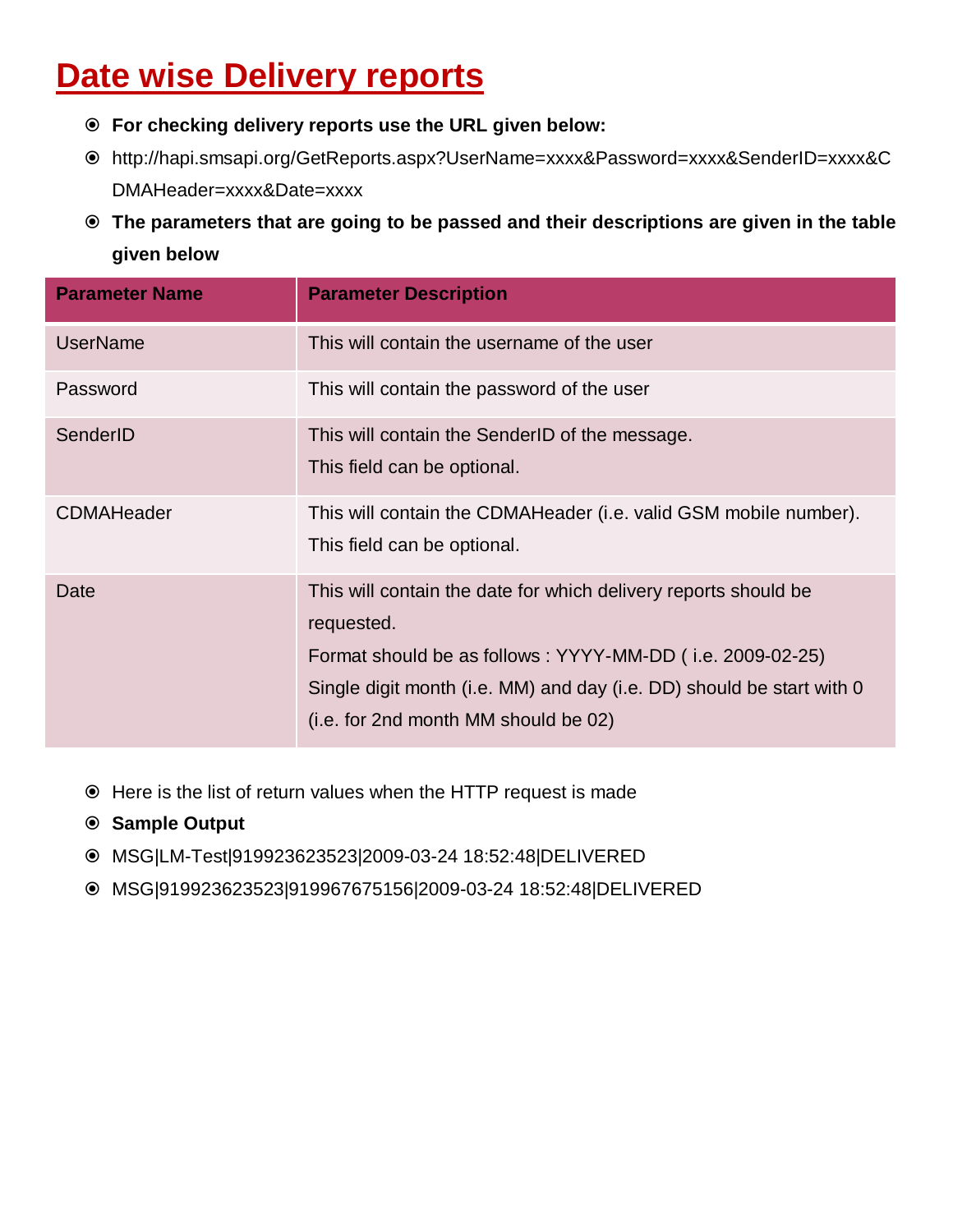## **Date wise Delivery reports**

- **For checking delivery reports use the URL given below:**
- http://hapi.smsapi.org/GetReports.aspx?UserName=xxxx&Password=xxxx&SenderID=xxxx&C DMAHeader=xxxx&Date=xxxx
- **The parameters that are going to be passed and their descriptions are given in the table given below**

| <b>Parameter Name</b> | <b>Parameter Description</b>                                                                                                                                                                                                                                |
|-----------------------|-------------------------------------------------------------------------------------------------------------------------------------------------------------------------------------------------------------------------------------------------------------|
| <b>UserName</b>       | This will contain the username of the user                                                                                                                                                                                                                  |
| Password              | This will contain the password of the user                                                                                                                                                                                                                  |
| SenderID              | This will contain the SenderID of the message.<br>This field can be optional.                                                                                                                                                                               |
| <b>CDMAHeader</b>     | This will contain the CDMAHeader (i.e. valid GSM mobile number).<br>This field can be optional.                                                                                                                                                             |
| Date                  | This will contain the date for which delivery reports should be<br>requested.<br>Format should be as follows: YYYY-MM-DD (i.e. 2009-02-25)<br>Single digit month (i.e. MM) and day (i.e. DD) should be start with 0<br>(i.e. for 2nd month MM should be 02) |

- Here is the list of return values when the HTTP request is made
- **Sample Output**
- MSG|LM-Test|919923623523|2009-03-24 18:52:48|DELIVERED
- MSG|919923623523|919967675156|2009-03-24 18:52:48|DELIVERED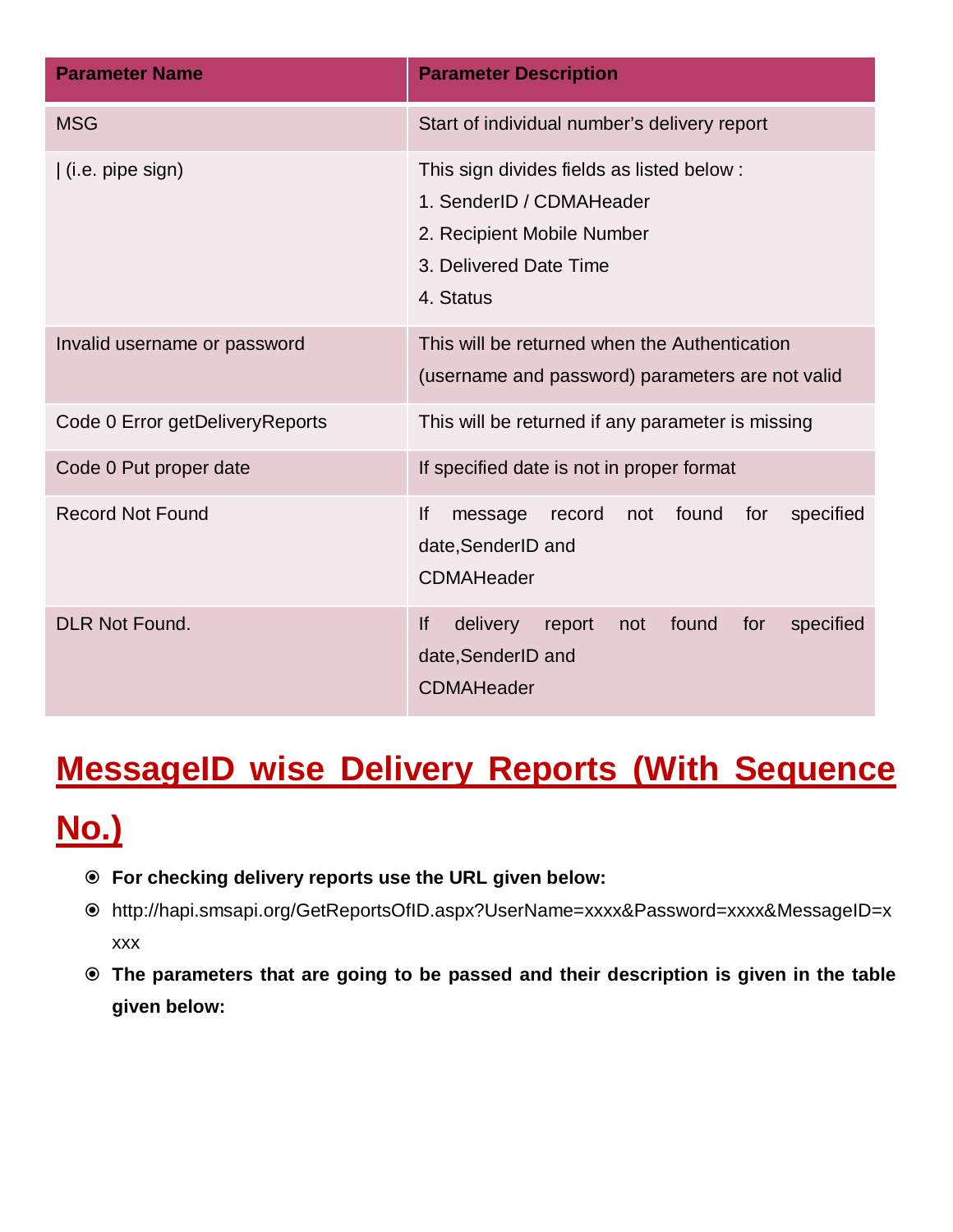| <b>Parameter Name</b>           | <b>Parameter Description</b>                                                                                                               |
|---------------------------------|--------------------------------------------------------------------------------------------------------------------------------------------|
| <b>MSG</b>                      | Start of individual number's delivery report                                                                                               |
| (i.e. pipe sign)                | This sign divides fields as listed below:<br>1. SenderID / CDMAHeader<br>2. Recipient Mobile Number<br>3. Delivered Date Time<br>4. Status |
| Invalid username or password    | This will be returned when the Authentication<br>(username and password) parameters are not valid                                          |
| Code 0 Error getDeliveryReports | This will be returned if any parameter is missing                                                                                          |
| Code 0 Put proper date          | If specified date is not in proper format                                                                                                  |
| <b>Record Not Found</b>         | lf<br>found<br>for<br>specified<br>message<br>record<br>not<br>date, SenderID and<br><b>CDMAHeader</b>                                     |
| <b>DLR Not Found.</b>           | <b>If</b><br>delivery<br>found<br>specified<br>report<br>not<br>for<br>date, SenderID and<br><b>CDMAHeader</b>                             |

### **MessageID wise Delivery Reports (With Sequence**

## **No.)**

- **For checking delivery reports use the URL given below:**
- http://hapi.smsapi.org/GetReportsOfID.aspx?UserName=xxxx&Password=xxxx&MessageID=x xxx
- **The parameters that are going to be passed and their description is given in the table given below:**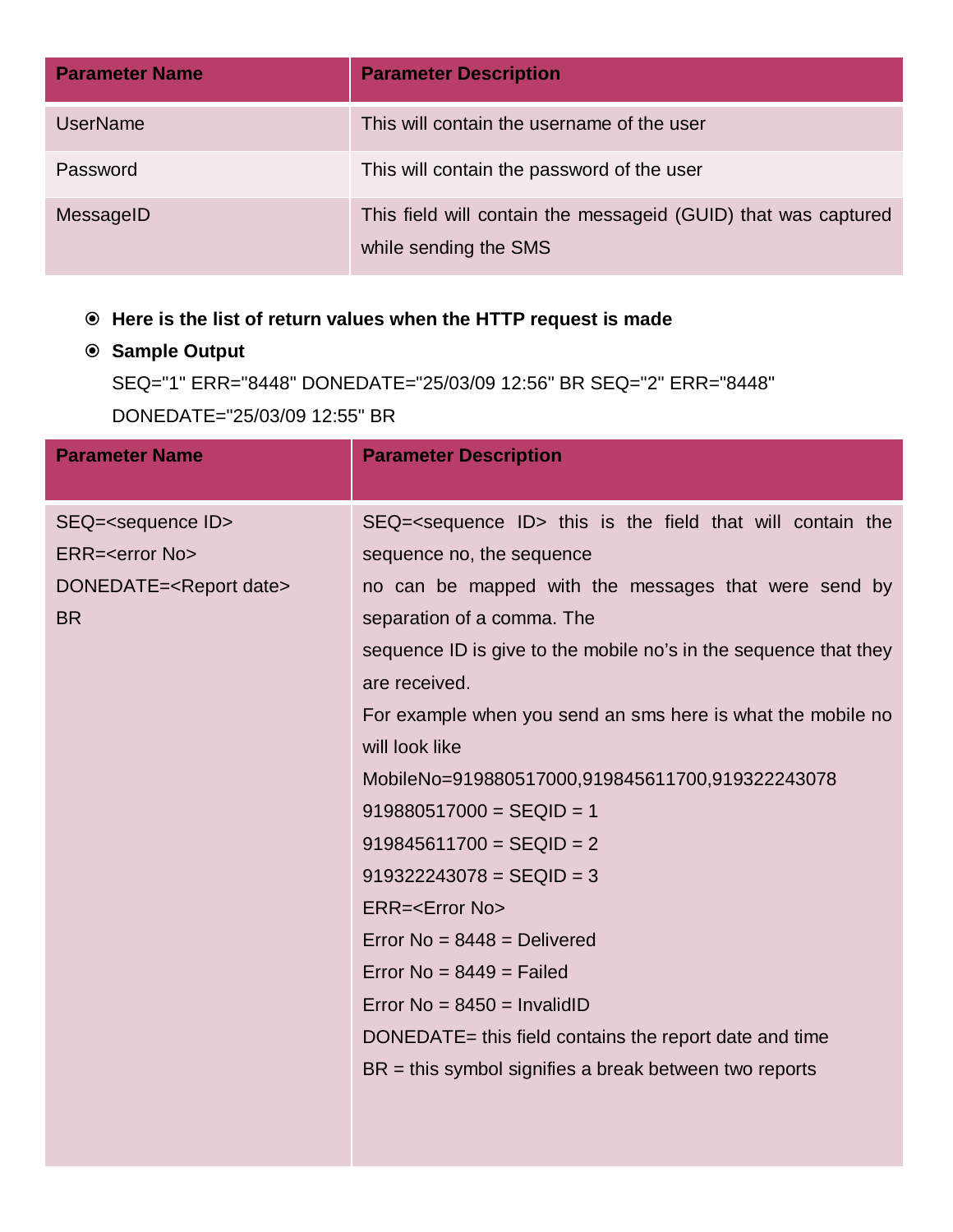| <b>Parameter Name</b> | <b>Parameter Description</b>                                                            |
|-----------------------|-----------------------------------------------------------------------------------------|
| <b>UserName</b>       | This will contain the username of the user                                              |
| Password              | This will contain the password of the user                                              |
| MessageID             | This field will contain the messageid (GUID) that was captured<br>while sending the SMS |

#### **Here is the list of return values when the HTTP request is made**

#### **Sample Output**

```
SEQ="1" ERR="8448" DONEDATE="25/03/09 12:56" BR SEQ="2" ERR="8448"
```
DONEDATE="25/03/09 12:55" BR

| <b>Parameter Name</b>                                                                                               | <b>Parameter Description</b>                                                                                                                                                                                                                                                                                                                                                                                                                                                                                                                                                                                                                                                                                                                                                                                                                                    |
|---------------------------------------------------------------------------------------------------------------------|-----------------------------------------------------------------------------------------------------------------------------------------------------------------------------------------------------------------------------------------------------------------------------------------------------------------------------------------------------------------------------------------------------------------------------------------------------------------------------------------------------------------------------------------------------------------------------------------------------------------------------------------------------------------------------------------------------------------------------------------------------------------------------------------------------------------------------------------------------------------|
| SEQ= <sequence id=""><br/>ERR=<error no=""><br/>DONEDATE=<report date=""><br/><b>BR</b></report></error></sequence> | SEQ= <sequence id=""> this is the field that will contain the<br/>sequence no, the sequence<br/>no can be mapped with the messages that were send by<br/>separation of a comma. The<br/>sequence ID is give to the mobile no's in the sequence that they<br/>are received.<br/>For example when you send an sms here is what the mobile no<br/>will look like<br/>MobileNo=919880517000,919845611700,919322243078<br/><math>919880517000 = SEQID = 1</math><br/><math>919845611700 = SEQID = 2</math><br/><math>919322243078 = SEQID = 3</math><br/>ERR=<error no=""><br/>Error <math>No = 8448 =</math> Delivered<br/>Error No = <math>8449</math> = Failed<br/>Error No = <math>8450</math> = InvalidID<br/>DONEDATE= this field contains the report date and time<br/><math>BR =</math> this symbol signifies a break between two reports</error></sequence> |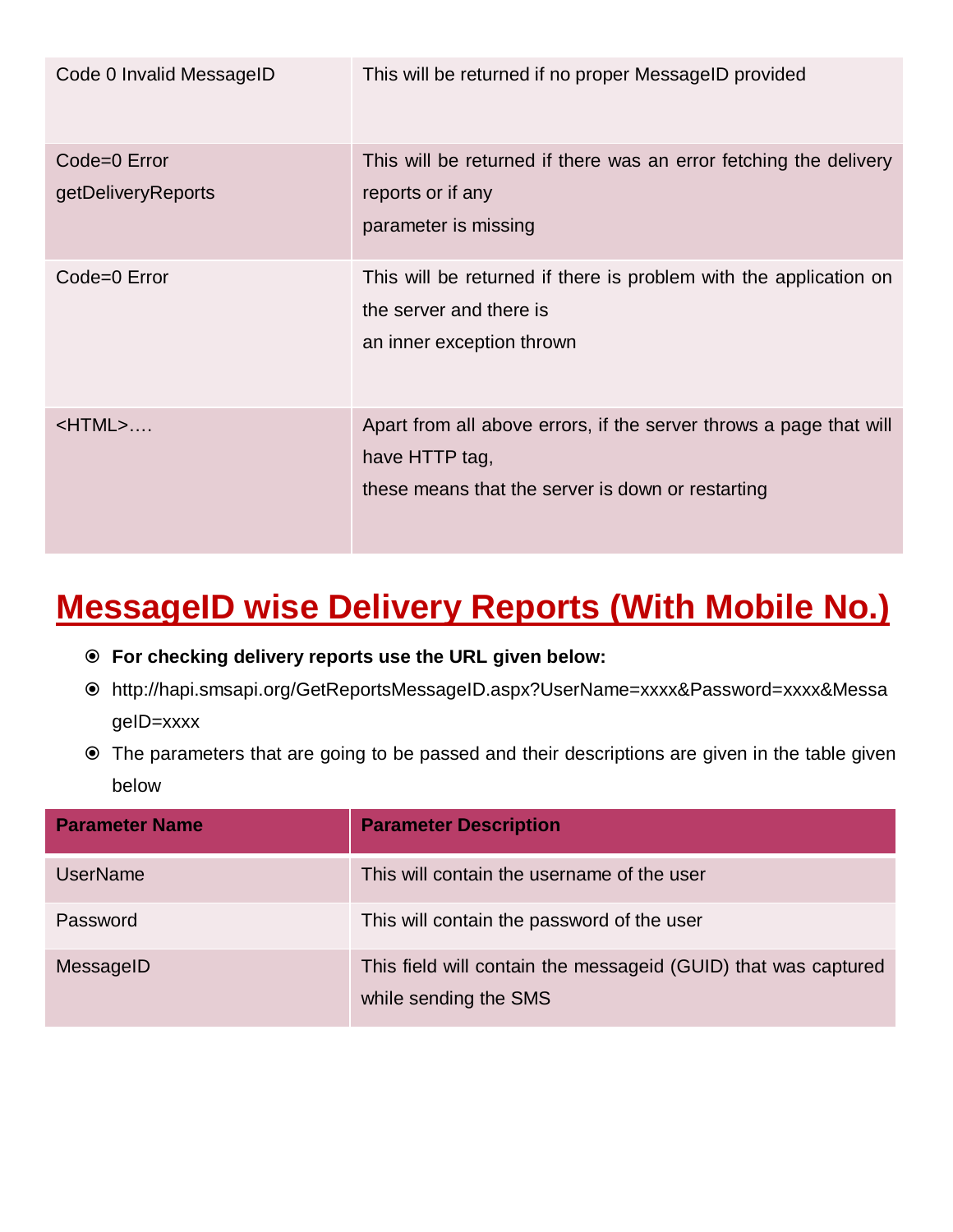| Code 0 Invalid MessageID           | This will be returned if no proper MessageID provided                                                                                     |
|------------------------------------|-------------------------------------------------------------------------------------------------------------------------------------------|
| Code=0 Error<br>getDeliveryReports | This will be returned if there was an error fetching the delivery<br>reports or if any<br>parameter is missing                            |
| Code=0 Error                       | This will be returned if there is problem with the application on<br>the server and there is<br>an inner exception thrown                 |
| $\langle$ HTML $>$                 | Apart from all above errors, if the server throws a page that will<br>have HTTP tag,<br>these means that the server is down or restarting |

#### **MessageID wise Delivery Reports (With Mobile No.)**

- **For checking delivery reports use the URL given below:**
- http://hapi.smsapi.org/GetReportsMessageID.aspx?UserName=xxxx&Password=xxxx&Messa geID=xxxx
- The parameters that are going to be passed and their descriptions are given in the table given below

| <b>Parameter Name</b> | <b>Parameter Description</b>                                                            |
|-----------------------|-----------------------------------------------------------------------------------------|
| <b>UserName</b>       | This will contain the username of the user                                              |
| Password              | This will contain the password of the user                                              |
| MessageID             | This field will contain the messageid (GUID) that was captured<br>while sending the SMS |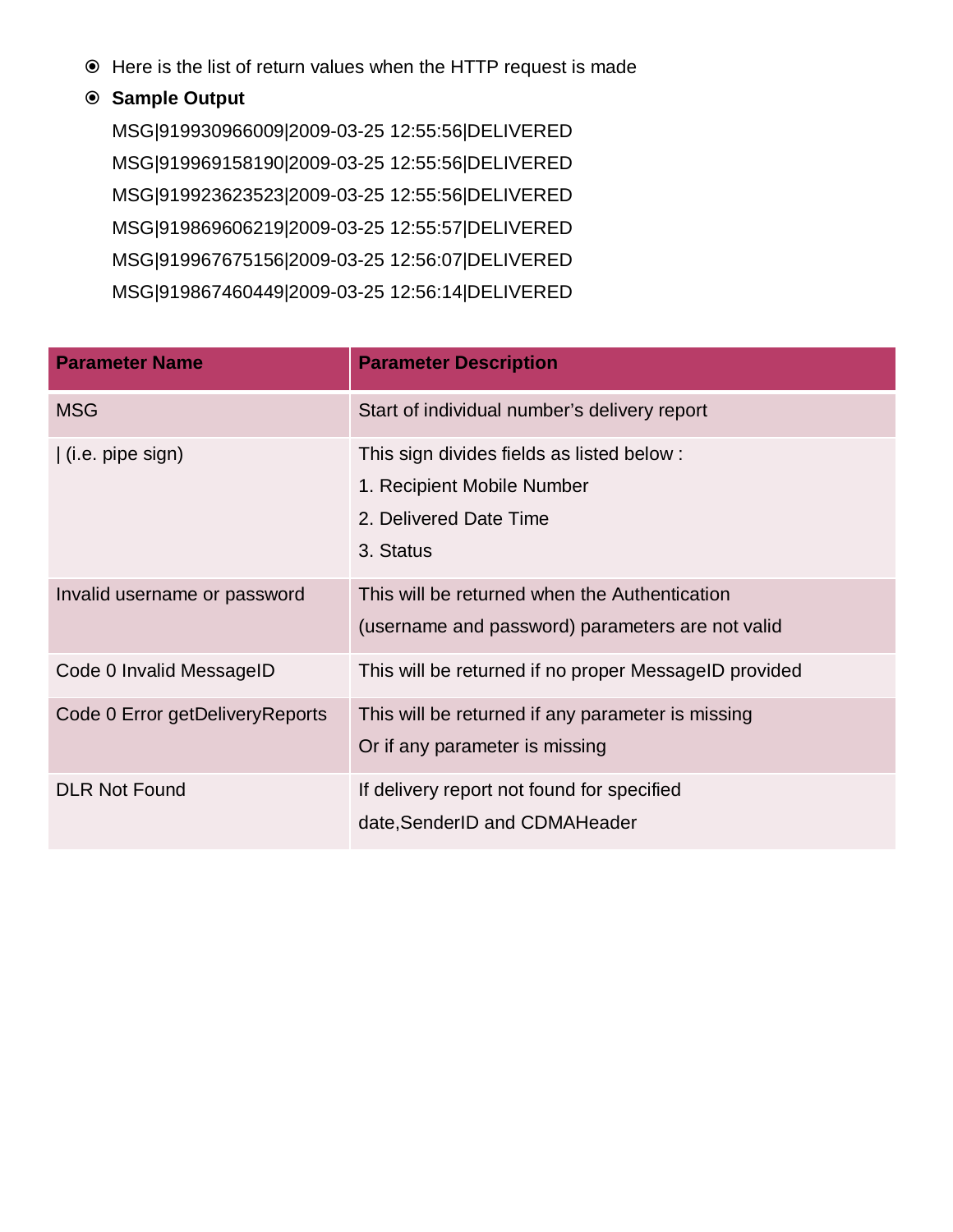Here is the list of return values when the HTTP request is made

#### **Sample Output**

MSG|919930966009|2009-03-25 12:55:56|DELIVERED MSG|919969158190|2009-03-25 12:55:56|DELIVERED MSG|919923623523|2009-03-25 12:55:56|DELIVERED MSG|919869606219|2009-03-25 12:55:57|DELIVERED MSG|919967675156|2009-03-25 12:56:07|DELIVERED MSG|919867460449|2009-03-25 12:56:14|DELIVERED

| <b>Parameter Name</b>           | <b>Parameter Description</b>                                                                                   |
|---------------------------------|----------------------------------------------------------------------------------------------------------------|
| <b>MSG</b>                      | Start of individual number's delivery report                                                                   |
| $($ i.e. pipe sign $)$          | This sign divides fields as listed below:<br>1. Recipient Mobile Number<br>2. Delivered Date Time<br>3. Status |
| Invalid username or password    | This will be returned when the Authentication<br>(username and password) parameters are not valid              |
| Code 0 Invalid MessageID        | This will be returned if no proper MessageID provided                                                          |
| Code 0 Error getDeliveryReports | This will be returned if any parameter is missing<br>Or if any parameter is missing                            |
| <b>DLR Not Found</b>            | If delivery report not found for specified<br>date, SenderID and CDMAHeader                                    |